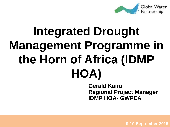

# **Integrated Drought Management Programme in the Horn of Africa (IDMP HOA)**

**Gerald Kairu Regional Project Manager IDMP HOA- GWPEA**

1 **9-10 September 2015**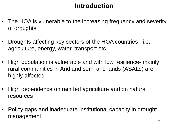## **Introduction**

- The HOA is vulnerable to the increasing frequency and severity of droughts
- Droughts affecting key sectors of the HOA countries –i.e. agriculture, energy, water, transport etc.
- High population is vulnerable and with low resilience- mainly rural communities in Arid and semi arid lands (ASALs) are highly affected
- High dependence on rain fed agriculture and on natural resources
- Policy gaps and inadequate institutional capacity in drought management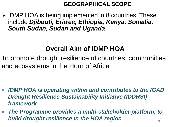#### **GEOGRAPHICAL SCOPE**

**► IDMP HOA is being implemented in 8 countries. These** include *Djibouti, Eritrea, Ethiopia, Kenya, Somalia, South Sudan, Sudan and Uganda* 

## **Overall Aim of IDMP HOA**

To promote drought resilience of countries, communities and ecosystems in the Horn of Africa

- *IDMP HOA is operating within and contributes to the IGAD Drought Resilience Sustainability Initiative (IDDRSI) framework*
- *The Programme provides a multi-stakeholder platform, to build drought resilience in the HOA region*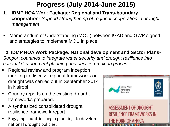## **Progress (July 2014-June 2015)**

- **1. IDMP HOA Work Package: Regional and Trans-boundary cooperation-** *Support strengthening of regional cooperation in drought management*
- Memorandum of Understanding (MOU) between IGAD and GWP signed and strategies to implement MOU in place

**2. IDMP HOA Work Package: National development and Sector Plans-***Support countries to integrate water security and drought resilience into national development planning and decision-making processes*

- Regional review and program inception meeting to discuss regional frameworks on drought was carried out in September 2014 in Nairobi
- Country reports on the existing drought frameworks prepared.
- A synthesized consolidated drought resilience framework report
- Engaging countries begin planning to develop national drought policies.

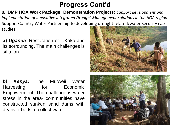**3. IDMP HOA Work Package: Demonstration Projects:** *Support development and implementation of innovative Integrated Drought Management solutions in the HOA region* Support Country Water Partnership to developing drought related/water security case studies

**a)** *Uganda*: Restoration of L.Kako and its sorrounding. The main challenges is siltation

*b) Kenya:* The Mutweii Water Harvesting for Economic Empowerment. The challenge is water stress in the area- communities have constructed sunken sand dams with dry river beds to collect water.



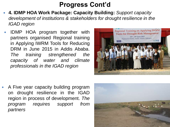- **4. IDMP HOA Work Package: Capacity Building:** *Support capacity development of institutions & stakeholders for drought resilience in the IGAD region*
- IDMP HOA program together with partners organised Regional training in Applying IWRM Tools for Reducing DRM in June 2015 in Addis Ababa. *The training strengthened the capacity of water and climate professionals in the IGAD region*



 A Five year capacity building program on drought resilience in the IGAD region in process of development. *The program requires support from partners*

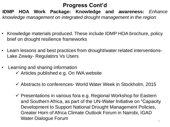**IDMP HOA Work Package: Knowledge and awareness:** *Enhance knowledge management on integrated drought management in the region*

- Knowledge materials produced. These include IDMP HOA brochure, policy brief on drought resilience frameworks
- Learn lessons and best practices from drought/water related interventions-Lake Zeway- Regulators Vs Users
- Learning and sharing information
	- $\checkmark$  Articles published e.g. On IWA website
	- $\checkmark$  Abstracts to conferences- World Water Week in Stockholm, 2015
	- $\checkmark$  Presentations in various fora e.g. Regional Workshop for Eastern and Southern Africa, as part of the UN-Water Initiative on "Capacity Development to Support National Drought Management Policies, Greater Horn of Africa Climate Outlook Forum in Nairobi, IGAD Water Dialogue Forum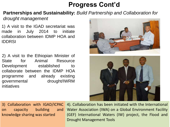**Partnerships and Sustainability:** *Build Partnership and Collaboration for* 

*drought management*

1) A visit to the IGAD secretariat was made in July 2014 to initiate collaboration between IDMP HOA and IDDRSI

2) A visit to the Ethiopian Minister of State for Animal Resource Development established to collaborate between the IDMP HOA programme and already existing governmental drought/IWRM initiatives





knowledge sharing was started

3) Collaboration with IGAD/ICPAC 4). Collaboration has been initiated with the International on capacity building and Water Association (IWA) on a Global Environment Facility (GEF) International Waters (IW) project, the Flood and Drought Management Tools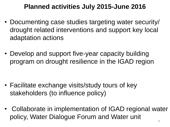## **Planned activities July 2015-June 2016**

- Documenting case studies targeting water security/ drought related interventions and support key local adaptation actions
- Develop and support five-year capacity building program on drought resilience in the IGAD region

- Facilitate exchange visits/study tours of key stakeholders (to influence policy)
- Collaborate in implementation of IGAD regional water policy, Water Dialogue Forum and Water unit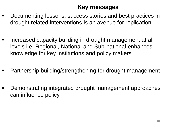#### **Key messages**

- Documenting lessons, success stories and best practices in drought related interventions is an avenue for replication
- Increased capacity building in drought management at all levels i.e. Regional, National and Sub-national enhances knowledge for key institutions and policy makers
- Partnership building/strengthening for drought management
- Demonstrating integrated drought management approaches can influence policy